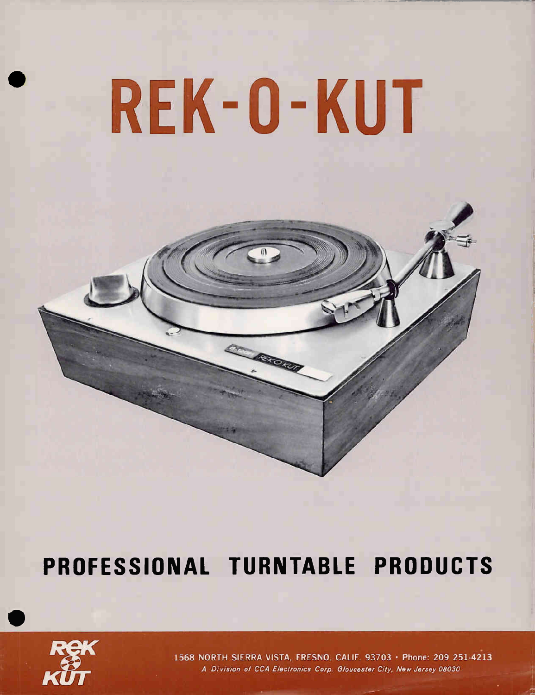# REK-O-KUT

## PROFESSIONAL TURNTABLE PRODUCTS



1568 NORTH SIERRA VISTA, FRESNO, CALIF. 93703 · Phone: 209 251-4213 A Division of CCA Electronics Corp. Gloucester City, New Jersey 08030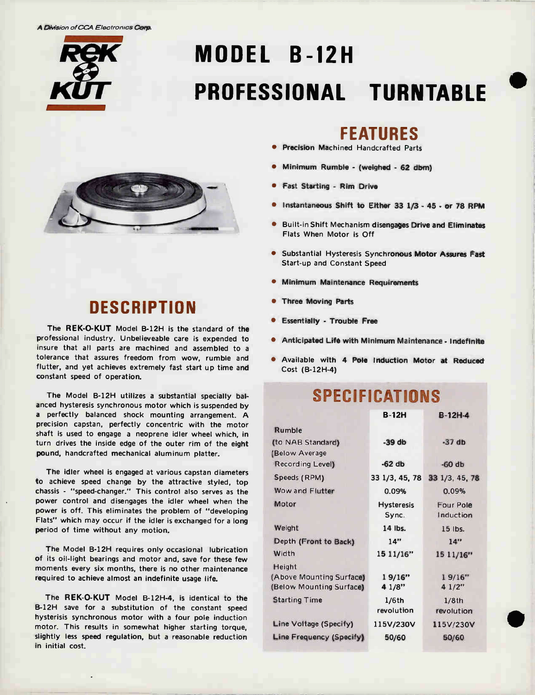A Division of CCA Electronics Corp



## MODEL B-12H PROFESSIONAL TURNTABLE



## **DESCRIPTION**

The REK-O-KUT Model B-12H is the standard of the professional industry. Unbelieveable care is expended to insure that all parts are machined and assembled to a tolerance that assures freedom from wow, rumble and flutter, and yet achieves extremely fast start up time and constant speed of operation.

The Model 6-12H utilizes a substantial specially balanced hysteresis synchronous motor which is suspended by a perfectly balanced shock mounting arrangement. A precision capstan, perfectly concentric with the motor shaft is used to engage a neoprene idler wheel which, in turn drives the inside edge of the outer rim of the eight pound, handcrafted mechanical aluminum platter.

The idler wheel is engaged at various capstan diameters to achieve speed change by the attractive styled, top chassis - "speed-changer." This control also serves as the power control and disengages the idler wheel when the power is off. This eliminates the problem of "developing Flats" which may occur if the idler is exchanged for a long period of time without any motion.

The Model 6-12H requires only occasional lubrication of its oil-light bearings and motor and, save for these few moments every six months, there is no other maintenance required to achieve almost an indefinite usage life.

The REK-O-KUT Model B-12H-4, is identical to the 8-12H save for a substitution of the constant speed hysterisis synchronous motor with a four pole induction motor. This results in somewhat higher starting torque, slightly less speed regulation, but a reasonable reduction in initial cost.

#### FEATURES

- **Precision Machined Handcrafted Parts**
- Minimum Rumble (weighed 62 dbm)
- Fast Starting Rim Drive
- Instantaneous Shift to Either 33 1/3 45 or 78 RPM
- **Built-in Shift Mechanism disengages Drive and Eliminates** Flats When Motor is Off
- **.** Substantial Hysteresis Synchronous Motor Assures Fast Start-up and Constant Speed
- **Minimum Maintenance Requirements**
- **Three Moving Parts**
- **•** Essentially Trouble Free
- Anticipated Life with Minimum Maintenance Indefinite
- Available with 4 Pole Induction Motor at Reduced Cost (B-12H-4)

## SPECIFICATIONS

|                          | <b>B-12H</b>      | $B-12H-4$      |
|--------------------------|-------------------|----------------|
| Rumble                   |                   |                |
| (to NAB Standard)        | $-39$ db          | $-37db$        |
| (Below Average           |                   |                |
| Recording Level)         | $-62$ db          | $-60$ db       |
| Speeds (RPM)             | 33 1/3, 45, 78    | 33 1/3, 45, 78 |
| Wow and Flutter          | 0.09%             | 0.09%          |
| Motor                    | <b>Hysteresis</b> | Four Pole      |
|                          | Sync.             | Induction      |
| Weight                   | 14 lbs.           | 15 lbs.        |
| Depth (Front to Back)    | 14"               | 14"            |
| Width                    | 15 11/16"         | 15 11/16"      |
| Height                   |                   |                |
| (Above Mounting Surface) | 19/16"            | 19/16"         |
| (Below Mounting Surface) | 4 1/8"            | 41/2"          |
| <b>Starting Time</b>     | 1/6th             | 1/8th          |
|                          | revolution        | revolution     |
| Line Voltage (Specify)   | 115V/230V         | 115V/230V      |
| Line Frequency (Specify) | 50/60             | 50/60          |
|                          |                   |                |

 $\blacksquare$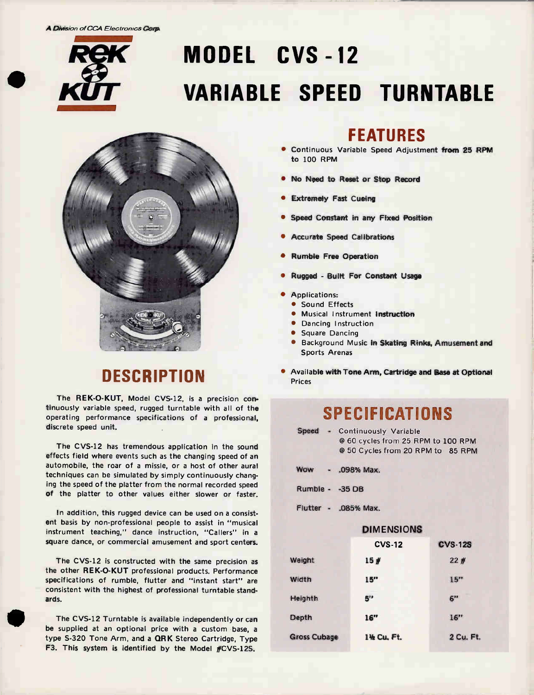A Division of CCA Electronics Corp.

# MODEL CVS -12 VARIABLE SPEED TURNTABLE



## **DESCRIPTION**

The REK-O-KUT, Model CVS-12, is a precision continuously variable speed, rugged turntable with all of the operating performance specifications of a professional, discrete speed unit.

The CVS-12 has tremendous application in the sound effects field where events such as the changing speed of an automobile, the roar of a missle, or a host of other aural techniques can be simulated by simply continuously changing the speed of the platter from the normal recorded speed of the platter to other values either slower or faster.

In addition, this rugged device can be used on a consistent basis by non-professional people to assist in "musical instrument teaching," dance instruction, "Callers" in a square dance, or commercial amusement and sport centers.

The CVS-12 is constructed with the same precision as the other REK-O-KUT professional products. Performance specifications of rumble, flutter and "instant start" are consistent with the highest of professional turntable standards.

The CVS-12 Turntable is available independently or can be supplied at an optional price with a custom base, a type S-320 Tone Arm, and a ORK Stereo Cartridge, Type F3. This system is identified by the Model #CVS-12S.

#### FEATURES

- Continuous Variable Speed Adjustment from 25 RPM to 100 RPM
- No Need to Reset or Stop Record
- Extremely Fast Cueing
- Speed Constant in any Fixed Position
- Accurate Speed Calibrations
- Rumble Free Operation
- Rugged Built For Constant Usage
- Applications:
- **Sound Effects**
- **Musical Instrument Instruction**
- **Dancing Instruction**
- **Square Dancing**
- **Background Music in Skating Rinks, Amusement and** Sports Arenas
- Available with Tone Arm, Cartridge and Base at Optional Prices

## **SPECIFICATIONS**

| Speed | - Continuously Variable            |  |
|-------|------------------------------------|--|
|       | @ 60 cycles from 25 RPM to 100 RPM |  |
|       | @ 50 Cycles from 20 RPM to 85 RPM  |  |

- Wow .098% Max.
- Rumble -35 DB
- Flutter .085% Max.

|                     | <b>DIMENSIONS</b> |                |
|---------------------|-------------------|----------------|
|                     | <b>CVS-12</b>     | <b>CVS-12S</b> |
| Weight              | 15#               | 22#            |
| Width               | 15"               | 15"            |
| Heighth             | 5"                | 6"             |
| Depth               | 16"               | 16"            |
| <b>Gross Cubage</b> | 1% Cu. Ft.        | 2 Cu. Ft.      |
|                     |                   |                |